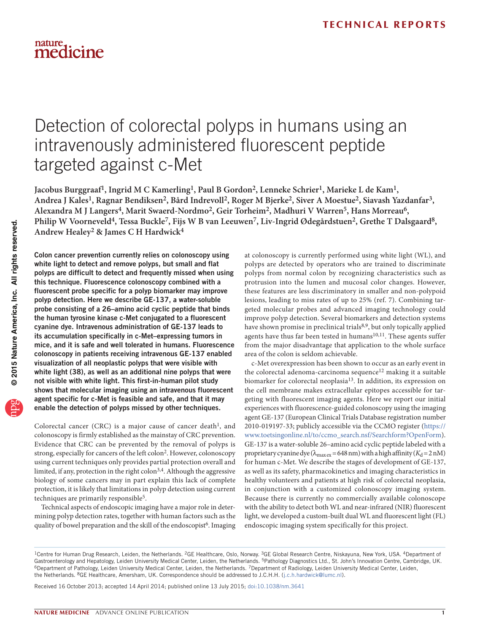## Detection of colorectal polyps in humans using an intravenously administered fluorescent peptide targeted against c-Met

Jacobus Burggraaf<sup>1</sup>, Ingrid M C Kamerling<sup>1</sup>, Paul B Gordon<sup>2</sup>, Lenneke Schrier<sup>1</sup>, Marieke L de Kam<sup>1</sup>, **Andrea J Kales1, Ragnar Bendiksen2, Bård Indrevoll2, Roger M Bjerke2, Siver A Moestue2, Siavash Yazdanfar3,**  Alexandra M J Langers<sup>4</sup>, Marit Swaerd-Nordmo<sup>2</sup>, Geir Torheim<sup>2</sup>, Madhuri V Warren<sup>5</sup>, Hans Morreau<sup>6</sup>, Philip W Voorneveld<sup>4</sup>, Tessa Buckle<sup>7</sup>, Fijs W B van Leeuwen<sup>7</sup>, Liv-Ingrid Ødegårdstuen<sup>2</sup>, Grethe T Dalsgaard<sup>8</sup>, **Andrew Healey2 & James C H Hardwick4**

Colon cancer prevention currently relies on colonoscopy using white light to detect and remove polyps, but small and flat polyps are difficult to detect and frequently missed when using this technique. Fluorescence colonoscopy combined with a fluorescent probe specific for a polyp biomarker may improve polyp detection. Here we describe GE-137, a water-soluble probe consisting of a 26–amino acid cyclic peptide that binds the human tyrosine kinase c-Met conjugated to a fluorescent cyanine dye. Intravenous administration of GE-137 leads to its accumulation specifically in c-Met–expressing tumors in mice, and it is safe and well tolerated in humans. Fluorescence colonoscopy in patients receiving intravenous GE-137 enabled visualization of all neoplastic polyps that were visible with white light (38), as well as an additional nine polyps that were not visible with white light. This first-in-human pilot study shows that molecular imaging using an intravenous fluorescent agent specific for c-Met is feasible and safe, and that it may enable the detection of polyps missed by other techniques.

Colorectal cancer (CRC) is a major cause of cancer death<sup>1</sup>, and colonoscopy is firmly established as the mainstay of CRC prevention. Evidence that CRC can be prevented by the removal of polyps is strong, especially for cancers of the left colon[2](#page--1-1). However, colonoscopy using current techniques only provides partial protection overall and limited, if any, protection in the right colon<sup>[3,](#page--1-2)[4](#page--1-3)</sup>. Although the aggressive biology of some cancers may in part explain this lack of complete protection, it is likely that limitations in polyp detection using current techniques are primarily responsible<sup>5</sup>.

Technical aspects of endoscopic imaging have a major role in determining polyp detection rates, together with human factors such as the quality of bowel preparation and the skill of the endoscopist<sup>6</sup>. Imaging

at colonoscopy is currently performed using white light (WL), and polyps are detected by operators who are trained to discriminate polyps from normal colon by recognizing characteristics such as protrusion into the lumen and mucosal color changes. However, these features are less discriminatory in smaller and non-polypoid lesions, leading to miss rates of up to 25% (ref. [7](#page--1-6)). Combining targeted molecular probes and advanced imaging technology could improve polyp detection. Several biomarkers and detection systems have shown promise in preclinical trials<sup>[8,](#page--1-7)[9](#page--1-8)</sup>, but only topically applied agents have thus far been tested in humans<sup>[10,](#page--1-9)[11](#page--1-10)</sup>. These agents suffer from the major disadvantage that application to the whole surface area of the colon is seldom achievable.

c-Met overexpression has been shown to occur as an early event in the colorectal adenoma-carcinoma sequence<sup>[12](#page--1-11)</sup> making it a suitable biomarker for colorectal neoplasia[13.](#page--1-12) In addition, its expression on the cell membrane makes extracellular epitopes accessible for targeting with fluorescent imaging agents. Here we report our initial experiences with fluorescence-guided colonoscopy using the imaging agent GE-137 (European Clinical Trials Database registration number 2010-019197-33; publicly accessible via the CCMO register ([https://](https://www.toetsingonline.nl/to/ccmo_search.nsf/Searchform?OpenForm) [www.toetsingonline.nl/to/ccmo\\_search.nsf/Searchform?OpenForm](https://www.toetsingonline.nl/to/ccmo_search.nsf/Searchform?OpenForm)). GE-137 is a water-soluble 26–amino acid cyclic peptide labeled with a proprietary cyanine dye ( $\lambda_{\text{max ex}}$  = 648 nm) with a high affinity ( $K_d$  = 2 nM) for human c-Met. We describe the stages of development of GE-137, as well as its safety, pharmacokinetics and imaging characteristics in healthy volunteers and patients at high risk of colorectal neoplasia, in conjunction with a customized colonoscopy imaging system. Because there is currently no commercially available colonoscope with the ability to detect both WL and near-infrared (NIR) fluorescent light, we developed a custom-built dual WL and fluorescent light (FL) endoscopic imaging system specifically for this project.

Received 16 October 2013; accepted 14 April 2014; published online 13 July 2015; [doi:10.1038/nm.3641](http://www.nature.com/doifinder/10.1038/nm.3641)

<sup>&</sup>lt;sup>1</sup>Centre for Human Drug Research, Leiden, the Netherlands. <sup>2</sup>GE Healthcare, Oslo, Norway. <sup>3</sup>GE Global Research Centre, Niskayuna, New York, USA. <sup>4</sup>Department of<br>Gastroenterology and Hepatology, Leiden University Medica <sup>6</sup>Department of Pathology, Leiden University Medical Center, Leiden, the Netherlands. <sup>7</sup>Department of Radiology, Leiden University Medical Center, Leiden, the Netherlands. 8GE Healthcare, Amersham, UK. Correspondence should be addressed to J.C.H.H. (j.c.h.hardwick@lumc.nl).